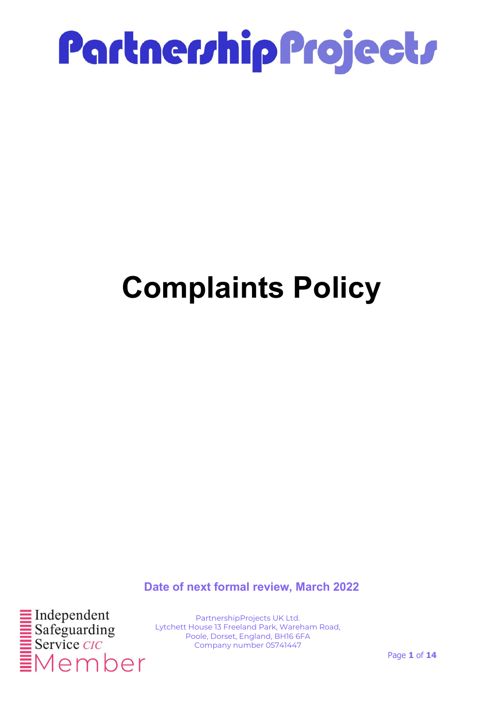

### Complaints Policy

Date of next formal review, March 2022



PartnershipProjects UK Ltd. Lytchett House 13 Freeland Park, Wareham Road, Poole, Dorset, England, BH16 6FA Company number 05741447

Page 1 of 14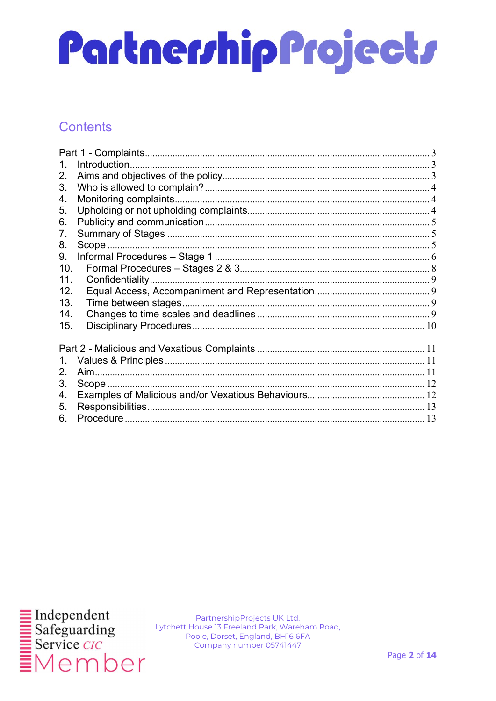#### Contents

| 1.  |  |
|-----|--|
| 2.  |  |
| 3.  |  |
| 4.  |  |
| 5.  |  |
| 6.  |  |
| 7.  |  |
| 8.  |  |
| 9.  |  |
| 10. |  |
| 11. |  |
| 12. |  |
| 13. |  |
| 14. |  |
| 15. |  |
|     |  |
|     |  |
| 1.  |  |
| 2.  |  |
| 3.  |  |
| 4.  |  |
| 5.  |  |
| 6.  |  |
|     |  |

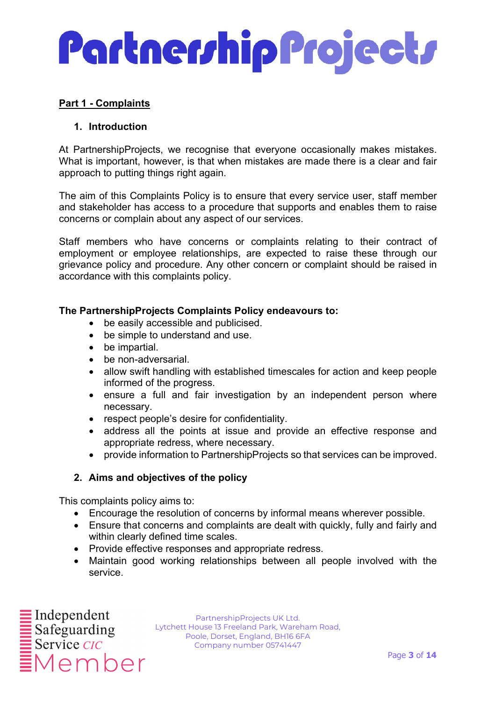#### Part 1 - Complaints

#### 1. Introduction

At PartnershipProjects, we recognise that everyone occasionally makes mistakes. What is important, however, is that when mistakes are made there is a clear and fair approach to putting things right again.

The aim of this Complaints Policy is to ensure that every service user, staff member and stakeholder has access to a procedure that supports and enables them to raise concerns or complain about any aspect of our services.

Staff members who have concerns or complaints relating to their contract of employment or employee relationships, are expected to raise these through our grievance policy and procedure. Any other concern or complaint should be raised in accordance with this complaints policy.

#### The PartnershipProjects Complaints Policy endeavours to:

- be easily accessible and publicised.
- be simple to understand and use.
- be impartial.
- be non-adversarial.
- allow swift handling with established timescales for action and keep people informed of the progress.
- ensure a full and fair investigation by an independent person where necessary.
- respect people's desire for confidentiality.
- address all the points at issue and provide an effective response and appropriate redress, where necessary.
- provide information to PartnershipProjects so that services can be improved.

#### 2. Aims and objectives of the policy

This complaints policy aims to:

- Encourage the resolution of concerns by informal means wherever possible.
- Ensure that concerns and complaints are dealt with quickly, fully and fairly and within clearly defined time scales.
- Provide effective responses and appropriate redress.
- Maintain good working relationships between all people involved with the service.

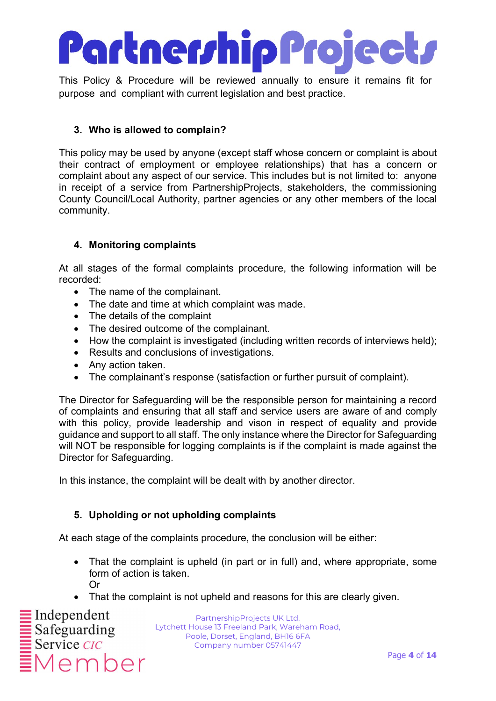This Policy & Procedure will be reviewed annually to ensure it remains fit for purpose and compliant with current legislation and best practice.

#### 3. Who is allowed to complain?

This policy may be used by anyone (except staff whose concern or complaint is about their contract of employment or employee relationships) that has a concern or complaint about any aspect of our service. This includes but is not limited to: anyone in receipt of a service from PartnershipProjects, stakeholders, the commissioning County Council/Local Authority, partner agencies or any other members of the local community.

#### 4. Monitoring complaints

At all stages of the formal complaints procedure, the following information will be recorded:

- The name of the complainant.
- The date and time at which complaint was made.
- The details of the complaint
- The desired outcome of the complainant.
- How the complaint is investigated (including written records of interviews held);
- Results and conclusions of investigations.
- Any action taken.
- The complainant's response (satisfaction or further pursuit of complaint).

The Director for Safeguarding will be the responsible person for maintaining a record of complaints and ensuring that all staff and service users are aware of and comply with this policy, provide leadership and vison in respect of equality and provide guidance and support to all staff. The only instance where the Director for Safeguarding will NOT be responsible for logging complaints is if the complaint is made against the Director for Safeguarding.

In this instance, the complaint will be dealt with by another director.

#### 5. Upholding or not upholding complaints

At each stage of the complaints procedure, the conclusion will be either:

- That the complaint is upheld (in part or in full) and, where appropriate, some form of action is taken. Or
- That the complaint is not upheld and reasons for this are clearly given.

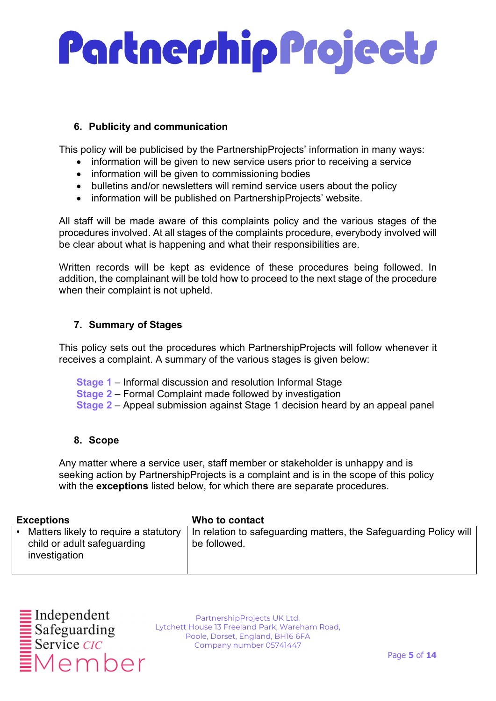#### 6. Publicity and communication

This policy will be publicised by the PartnershipProjects' information in many ways:

- information will be given to new service users prior to receiving a service
- information will be given to commissioning bodies
- bulletins and/or newsletters will remind service users about the policy
- information will be published on PartnershipProjects' website.

All staff will be made aware of this complaints policy and the various stages of the procedures involved. At all stages of the complaints procedure, everybody involved will be clear about what is happening and what their responsibilities are.

Written records will be kept as evidence of these procedures being followed. In addition, the complainant will be told how to proceed to the next stage of the procedure when their complaint is not upheld.

#### 7. Summary of Stages

This policy sets out the procedures which PartnershipProjects will follow whenever it receives a complaint. A summary of the various stages is given below:

- Stage 1 Informal discussion and resolution Informal Stage
- Stage 2 Formal Complaint made followed by investigation
- Stage 2 Appeal submission against Stage 1 decision heard by an appeal panel

#### 8. Scope

Any matter where a service user, staff member or stakeholder is unhappy and is seeking action by PartnershipProjects is a complaint and is in the scope of this policy with the exceptions listed below, for which there are separate procedures.

| <b>Exceptions</b>                                                                     | Who to contact                                                                    |
|---------------------------------------------------------------------------------------|-----------------------------------------------------------------------------------|
| Matters likely to require a statutory<br>child or adult safeguarding<br>investigation | In relation to safeguarding matters, the Safeguarding Policy will<br>be followed. |

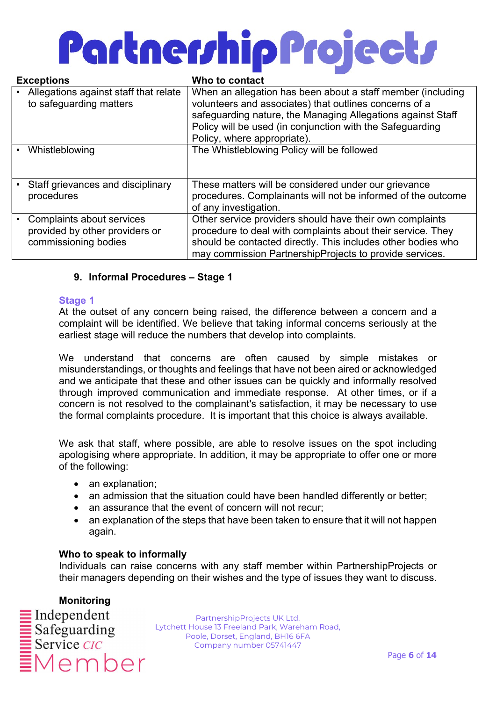| <b>Exceptions</b> |                                                                                     | Who to contact                                                                                                                                                                                                                                                                   |
|-------------------|-------------------------------------------------------------------------------------|----------------------------------------------------------------------------------------------------------------------------------------------------------------------------------------------------------------------------------------------------------------------------------|
|                   | Allegations against staff that relate<br>to safeguarding matters                    | When an allegation has been about a staff member (including<br>volunteers and associates) that outlines concerns of a<br>safeguarding nature, the Managing Allegations against Staff<br>Policy will be used (in conjunction with the Safeguarding<br>Policy, where appropriate). |
|                   | Whistleblowing                                                                      | The Whistleblowing Policy will be followed                                                                                                                                                                                                                                       |
|                   | Staff grievances and disciplinary<br>procedures                                     | These matters will be considered under our grievance<br>procedures. Complainants will not be informed of the outcome<br>of any investigation.                                                                                                                                    |
|                   | Complaints about services<br>provided by other providers or<br>commissioning bodies | Other service providers should have their own complaints<br>procedure to deal with complaints about their service. They<br>should be contacted directly. This includes other bodies who<br>may commission PartnershipProjects to provide services.                               |

#### 9. Informal Procedures – Stage 1

#### Stage 1

At the outset of any concern being raised, the difference between a concern and a complaint will be identified. We believe that taking informal concerns seriously at the earliest stage will reduce the numbers that develop into complaints.

We understand that concerns are often caused by simple mistakes or misunderstandings, or thoughts and feelings that have not been aired or acknowledged and we anticipate that these and other issues can be quickly and informally resolved through improved communication and immediate response. At other times, or if a concern is not resolved to the complainant's satisfaction, it may be necessary to use the formal complaints procedure. It is important that this choice is always available.

We ask that staff, where possible, are able to resolve issues on the spot including apologising where appropriate. In addition, it may be appropriate to offer one or more of the following:

- an explanation;
- an admission that the situation could have been handled differently or better;
- an assurance that the event of concern will not recur;
- an explanation of the steps that have been taken to ensure that it will not happen again.

#### Who to speak to informally

Individuals can raise concerns with any staff member within PartnershipProjects or their managers depending on their wishes and the type of issues they want to discuss.

Monitoring  $\blacksquare$  Independent  $\begin{array}{r}\n\hline\n\text{Safeguarding} \\
\hline\n\text{Service } CIC\n\end{array}$ Member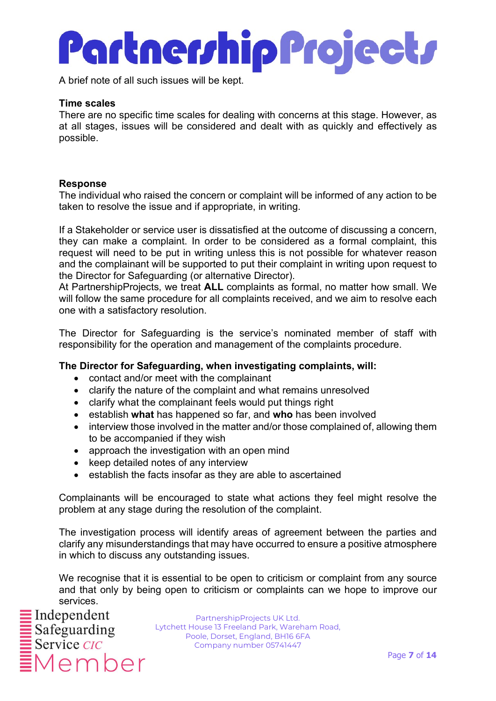A brief note of all such issues will be kept.

#### Time scales

There are no specific time scales for dealing with concerns at this stage. However, as at all stages, issues will be considered and dealt with as quickly and effectively as possible.

#### Response

The individual who raised the concern or complaint will be informed of any action to be taken to resolve the issue and if appropriate, in writing.

If a Stakeholder or service user is dissatisfied at the outcome of discussing a concern, they can make a complaint. In order to be considered as a formal complaint, this request will need to be put in writing unless this is not possible for whatever reason and the complainant will be supported to put their complaint in writing upon request to the Director for Safeguarding (or alternative Director).

At PartnershipProjects, we treat ALL complaints as formal, no matter how small. We will follow the same procedure for all complaints received, and we aim to resolve each one with a satisfactory resolution.

The Director for Safeguarding is the service's nominated member of staff with responsibility for the operation and management of the complaints procedure.

#### The Director for Safeguarding, when investigating complaints, will:

- contact and/or meet with the complainant
- clarify the nature of the complaint and what remains unresolved
- clarify what the complainant feels would put things right
- establish what has happened so far, and who has been involved
- interview those involved in the matter and/or those complained of, allowing them to be accompanied if they wish
- approach the investigation with an open mind
- keep detailed notes of any interview
- establish the facts insofar as they are able to ascertained

Complainants will be encouraged to state what actions they feel might resolve the problem at any stage during the resolution of the complaint.

The investigation process will identify areas of agreement between the parties and clarify any misunderstandings that may have occurred to ensure a positive atmosphere in which to discuss any outstanding issues.

We recognise that it is essential to be open to criticism or complaint from any source and that only by being open to criticism or complaints can we hope to improve our services.

 $\blacksquare$  Independent Member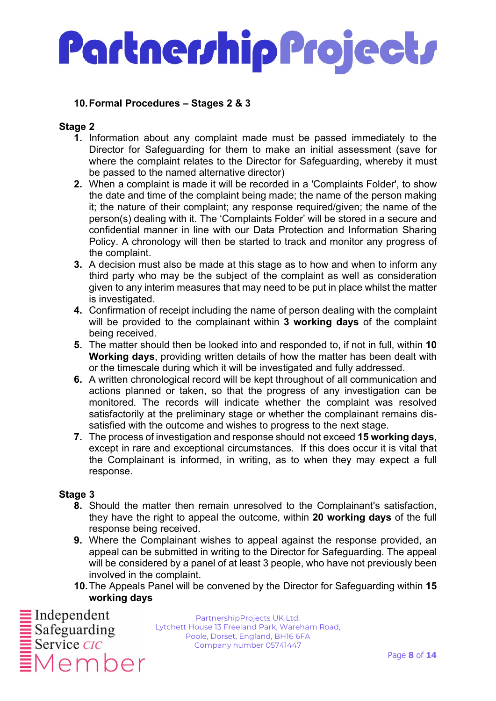#### 10. Formal Procedures – Stages 2 & 3

#### Stage 2

- 1. Information about any complaint made must be passed immediately to the Director for Safeguarding for them to make an initial assessment (save for where the complaint relates to the Director for Safeguarding, whereby it must be passed to the named alternative director)
- 2. When a complaint is made it will be recorded in a 'Complaints Folder', to show the date and time of the complaint being made; the name of the person making it; the nature of their complaint; any response required/given; the name of the person(s) dealing with it. The 'Complaints Folder' will be stored in a secure and confidential manner in line with our Data Protection and Information Sharing Policy. A chronology will then be started to track and monitor any progress of the complaint.
- 3. A decision must also be made at this stage as to how and when to inform any third party who may be the subject of the complaint as well as consideration given to any interim measures that may need to be put in place whilst the matter is investigated.
- 4. Confirmation of receipt including the name of person dealing with the complaint will be provided to the complainant within 3 working days of the complaint being received.
- 5. The matter should then be looked into and responded to, if not in full, within 10 Working days, providing written details of how the matter has been dealt with or the timescale during which it will be investigated and fully addressed.
- 6. A written chronological record will be kept throughout of all communication and actions planned or taken, so that the progress of any investigation can be monitored. The records will indicate whether the complaint was resolved satisfactorily at the preliminary stage or whether the complainant remains dissatisfied with the outcome and wishes to progress to the next stage.
- 7. The process of investigation and response should not exceed 15 working days, except in rare and exceptional circumstances. If this does occur it is vital that the Complainant is informed, in writing, as to when they may expect a full response.

#### Stage 3

- 8. Should the matter then remain unresolved to the Complainant's satisfaction, they have the right to appeal the outcome, within 20 working days of the full response being received.
- **9.** Where the Complainant wishes to appeal against the response provided, an appeal can be submitted in writing to the Director for Safeguarding. The appeal will be considered by a panel of at least 3 people, who have not previously been involved in the complaint.
- 10. The Appeals Panel will be convened by the Director for Safeguarding within 15 working days

Member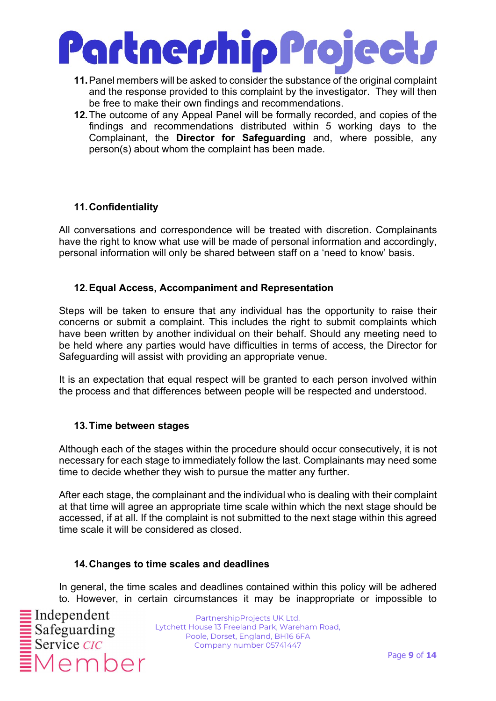

- 11. Panel members will be asked to consider the substance of the original complaint and the response provided to this complaint by the investigator. They will then be free to make their own findings and recommendations.
- 12. The outcome of any Appeal Panel will be formally recorded, and copies of the findings and recommendations distributed within 5 working days to the Complainant, the **Director for Safeguarding** and, where possible, any person(s) about whom the complaint has been made.

#### 11. Confidentiality

All conversations and correspondence will be treated with discretion. Complainants have the right to know what use will be made of personal information and accordingly. personal information will only be shared between staff on a 'need to know' basis.

#### 12. Equal Access, Accompaniment and Representation

Steps will be taken to ensure that any individual has the opportunity to raise their concerns or submit a complaint. This includes the right to submit complaints which have been written by another individual on their behalf. Should any meeting need to be held where any parties would have difficulties in terms of access, the Director for Safeguarding will assist with providing an appropriate venue.

It is an expectation that equal respect will be granted to each person involved within the process and that differences between people will be respected and understood.

#### 13. Time between stages

Although each of the stages within the procedure should occur consecutively, it is not necessary for each stage to immediately follow the last. Complainants may need some time to decide whether they wish to pursue the matter any further.

After each stage, the complainant and the individual who is dealing with their complaint at that time will agree an appropriate time scale within which the next stage should be accessed, if at all. If the complaint is not submitted to the next stage within this agreed time scale it will be considered as closed.

#### 14. Changes to time scales and deadlines

In general, the time scales and deadlines contained within this policy will be adhered to. However, in certain circumstances it may be inappropriate or impossible to

Member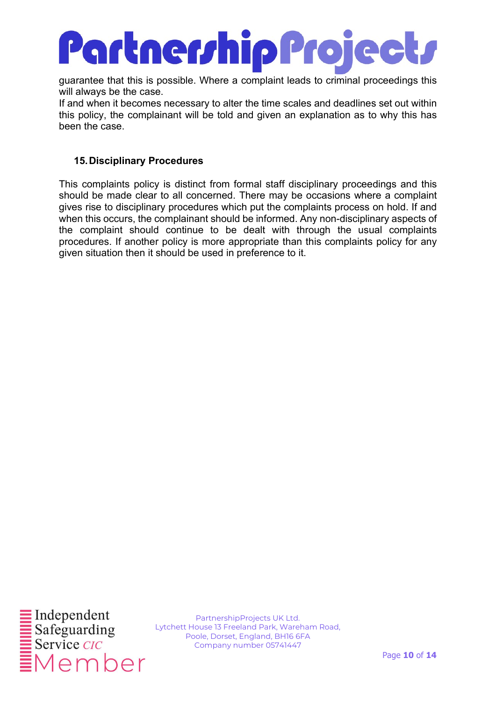### **Partner/hip Project/**

guarantee that this is possible. Where a complaint leads to criminal proceedings this will always be the case.

If and when it becomes necessary to alter the time scales and deadlines set out within this policy, the complainant will be told and given an explanation as to why this has been the case.

#### 15. Disciplinary Procedures

This complaints policy is distinct from formal staff disciplinary proceedings and this should be made clear to all concerned. There may be occasions where a complaint gives rise to disciplinary procedures which put the complaints process on hold. If and when this occurs, the complainant should be informed. Any non-disciplinary aspects of the complaint should continue to be dealt with through the usual complaints procedures. If another policy is more appropriate than this complaints policy for any given situation then it should be used in preference to it.

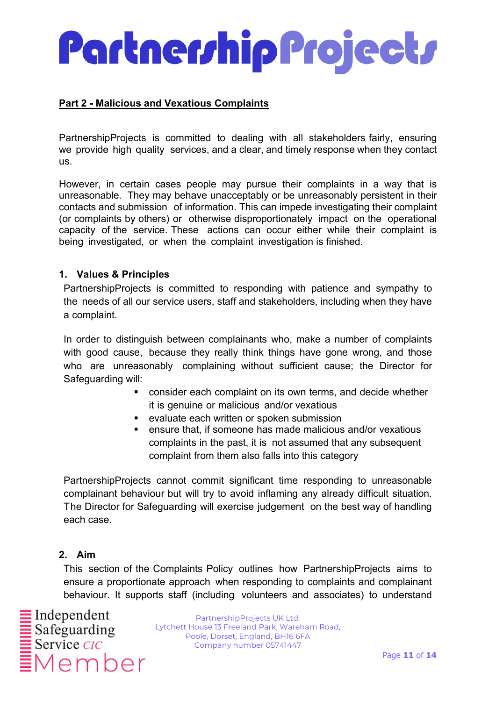#### Part 2 - Malicious and Vexatious Complaints

PartnershipProjects is committed to dealing with all stakeholders fairly, ensuring we provide high quality services, and a clear, and timely response when they contact us.

However, in certain cases people may pursue their complaints in a way that is unreasonable. They may behave unacceptably or be unreasonably persistent in their contacts and submission of information. This can impede investigating their complaint (or complaints by others) or otherwise disproportionately impact on the operational capacity of the service. These actions can occur either while their complaint is being investigated, or when the complaint investigation is finished.

#### 1. Values & Principles

PartnershipProjects is committed to responding with patience and sympathy to the needs of all our service users, staff and stakeholders, including when they have a complaint.

In order to distinguish between complainants who, make a number of complaints with good cause, because they really think things have gone wrong, and those who are unreasonably complaining without sufficient cause; the Director for Safeguarding will:

- consider each complaint on its own terms, and decide whether it is genuine or malicious and/or vexatious
- **EXECTE EXAMPLE EXAMPLE EXAMPLE EXAMPLE EXAMPLE EXAMPLE EXAMPLE EXAMPLE EXAMPLE EXAMPLE EXAMPLE EXAMPLE EXAMPLE EXAMPLE EXAMPLE EXAMPLE EXAMPLE EXAMPLE EXAMPLE EXAMPLE EXAMPLE EXAMPLE EXAMPLE EXAMPLE EXAMPLE EXAMPLE EXAMPL**
- ensure that, if someone has made malicious and/or vexatious complaints in the past, it is not assumed that any subsequent complaint from them also falls into this category

PartnershipProjects cannot commit significant time responding to unreasonable complainant behaviour but will try to avoid inflaming any already difficult situation. The Director for Safeguarding will exercise judgement on the best way of handling each case.

#### 2. Aim

This section of the Complaints Policy outlines how PartnershipProjects aims to ensure a proportionate approach when responding to complaints and complainant behaviour. It supports staff (including volunteers and associates) to understand

Member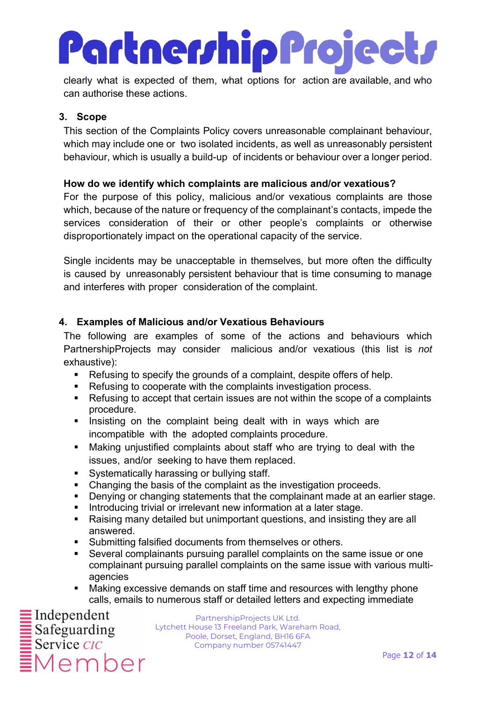## Partnerrhip Projectr

clearly what is expected of them, what options for action are available, and who can authorise these actions.

#### 3. Scope

This section of the Complaints Policy covers unreasonable complainant behaviour, which may include one or two isolated incidents, as well as unreasonably persistent behaviour, which is usually a build-up of incidents or behaviour over a longer period.

#### How do we identify which complaints are malicious and/or vexatious?

For the purpose of this policy, malicious and/or vexatious complaints are those which, because of the nature or frequency of the complainant's contacts, impede the services consideration of their or other people's complaints or otherwise disproportionately impact on the operational capacity of the service.

Single incidents may be unacceptable in themselves, but more often the difficulty is caused by unreasonably persistent behaviour that is time consuming to manage and interferes with proper consideration of the complaint.

#### 4. Examples of Malicious and/or Vexatious Behaviours

The following are examples of some of the actions and behaviours which PartnershipProjects may consider malicious and/or vexatious (this list is not exhaustive):

- Refusing to specify the grounds of a complaint, despite offers of help.
- Refusing to cooperate with the complaints investigation process.
- Refusing to accept that certain issues are not within the scope of a complaints procedure.
- **Insisting on the complaint being dealt with in ways which are** incompatible with the adopted complaints procedure.
- Making unjustified complaints about staff who are trying to deal with the issues, and/or seeking to have them replaced.
- **Systematically harassing or bullying staff.**
- Changing the basis of the complaint as the investigation proceeds.
- Denying or changing statements that the complainant made at an earlier stage.
- **Introducing trivial or irrelevant new information at a later stage.**
- Raising many detailed but unimportant questions, and insisting they are all answered.
- **Submitting falsified documents from themselves or others.**
- Several complainants pursuing parallel complaints on the same issue or one complainant pursuing parallel complaints on the same issue with various multiagencies
- Making excessive demands on staff time and resources with lengthy phone calls, emails to numerous staff or detailed letters and expecting immediate

Member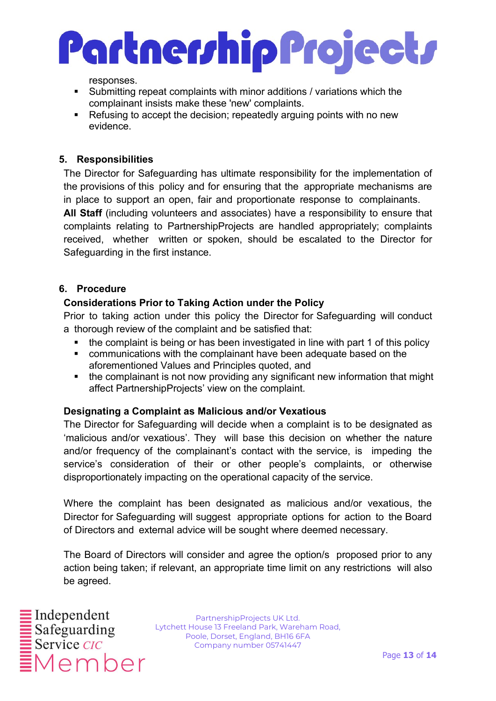

responses.

- Submitting repeat complaints with minor additions / variations which the complainant insists make these 'new' complaints.
- Refusing to accept the decision; repeatedly arguing points with no new evidence.

#### 5. Responsibilities

The Director for Safeguarding has ultimate responsibility for the implementation of the provisions of this policy and for ensuring that the appropriate mechanisms are in place to support an open, fair and proportionate response to complainants. All Staff (including volunteers and associates) have a responsibility to ensure that complaints relating to PartnershipProjects are handled appropriately; complaints received, whether written or spoken, should be escalated to the Director for Safeguarding in the first instance.

#### 6. Procedure

#### Considerations Prior to Taking Action under the Policy

Prior to taking action under this policy the Director for Safeguarding will conduct a thorough review of the complaint and be satisfied that:

- the complaint is being or has been investigated in line with part 1 of this policy
- communications with the complainant have been adequate based on the aforementioned Values and Principles quoted, and
- the complainant is not now providing any significant new information that might affect PartnershipProjects' view on the complaint.

#### Designating a Complaint as Malicious and/or Vexatious

The Director for Safeguarding will decide when a complaint is to be designated as 'malicious and/or vexatious'. They will base this decision on whether the nature and/or frequency of the complainant's contact with the service, is impeding the service's consideration of their or other people's complaints, or otherwise disproportionately impacting on the operational capacity of the service.

Where the complaint has been designated as malicious and/or vexatious, the Director for Safeguarding will suggest appropriate options for action to the Board of Directors and external advice will be sought where deemed necessary.

The Board of Directors will consider and agree the option/s proposed prior to any action being taken; if relevant, an appropriate time limit on any restrictions will also be agreed.